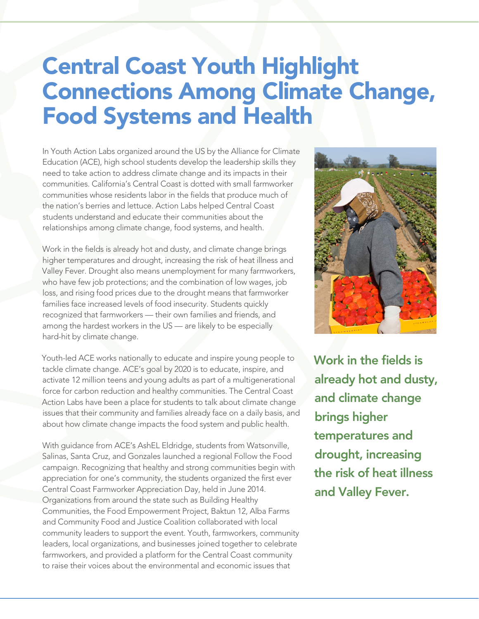## Central Coast Youth Highlight Connections Among Climate Change, Food Systems and Health

In Youth Action Labs organized around the US by the Alliance for Climate Education (ACE), high school students develop the leadership skills they need to take action to address climate change and its impacts in their communities. California's Central Coast is dotted with small farmworker communities whose residents labor in the fields that produce much of the nation's berries and lettuce. Action Labs helped Central Coast students understand and educate their communities about the relationships among climate change, food systems, and health.

Work in the fields is already hot and dusty, and climate change brings higher temperatures and drought, increasing the risk of heat illness and Valley Fever. Drought also means unemployment for many farmworkers, who have few job protections; and the combination of low wages, job loss, and rising food prices due to the drought means that farmworker families face increased levels of food insecurity. Students quickly recognized that farmworkers — their own families and friends, and among the hardest workers in the US — are likely to be especially hard-hit by climate change.

Youth-led ACE works nationally to educate and inspire young people to tackle climate change. ACE's goal by 2020 is to educate, inspire, and activate 12 million teens and young adults as part of a multigenerational force for carbon reduction and healthy communities. The Central Coast Action Labs have been a place for students to talk about climate change issues that their community and families already face on a daily basis, and about how climate change impacts the food system and public health.

With guidance from ACE's AshEL Eldridge, students from Watsonville, Salinas, Santa Cruz, and Gonzales launched a regional Follow the Food campaign. Recognizing that healthy and strong communities begin with appreciation for one's community, the students organized the first ever Central Coast Farmworker Appreciation Day, held in June 2014. Organizations from around the state such as Building Healthy Communities, the Food Empowerment Project, Baktun 12, Alba Farms and Community Food and Justice Coalition collaborated with local community leaders to support the event. Youth, farmworkers, community leaders, local organizations, and businesses joined together to celebrate farmworkers, and provided a platform for the Central Coast community to raise their voices about the environmental and economic issues that



Work in the fields is already hot and dusty, and climate change brings higher temperatures and drought, increasing the risk of heat illness and Valley Fever.